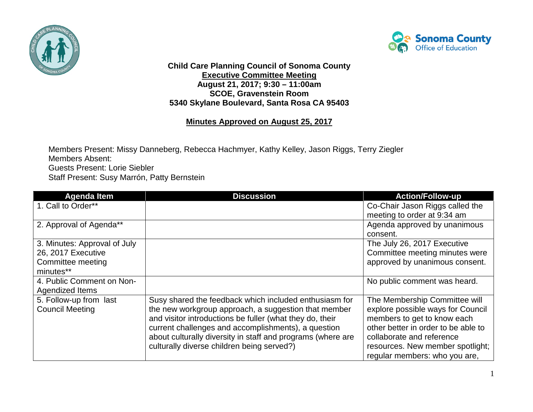



**Child Care Planning Council of Sonoma County Executive Committee Meeting August 21, 2017; 9:30 – 11:00am SCOE, Gravenstein Room 5340 Skylane Boulevard, Santa Rosa CA 95403**

## **Minutes Approved on August 25, 2017**

Members Present: Missy Danneberg, Rebecca Hachmyer, Kathy Kelley, Jason Riggs, Terry Ziegler Members Absent: Guests Present: Lorie Siebler Staff Present: Susy Marrón, Patty Bernstein

| <b>Agenda Item</b>           | <b>Discussion</b>                                           | <b>Action/Follow-up</b>             |
|------------------------------|-------------------------------------------------------------|-------------------------------------|
| 1. Call to Order**           |                                                             | Co-Chair Jason Riggs called the     |
|                              |                                                             | meeting to order at 9:34 am         |
| 2. Approval of Agenda**      |                                                             | Agenda approved by unanimous        |
|                              |                                                             | consent.                            |
| 3. Minutes: Approval of July |                                                             | The July 26, 2017 Executive         |
| 26, 2017 Executive           |                                                             | Committee meeting minutes were      |
| Committee meeting            |                                                             | approved by unanimous consent.      |
| minutes**                    |                                                             |                                     |
| 4. Public Comment on Non-    |                                                             | No public comment was heard.        |
| Agendized Items              |                                                             |                                     |
| 5. Follow-up from last       | Susy shared the feedback which included enthusiasm for      | The Membership Committee will       |
| <b>Council Meeting</b>       | the new workgroup approach, a suggestion that member        | explore possible ways for Council   |
|                              | and visitor introductions be fuller (what they do, their    | members to get to know each         |
|                              | current challenges and accomplishments), a question         | other better in order to be able to |
|                              | about culturally diversity in staff and programs (where are | collaborate and reference           |
|                              | culturally diverse children being served?)                  | resources. New member spotlight;    |
|                              |                                                             | regular members: who you are,       |